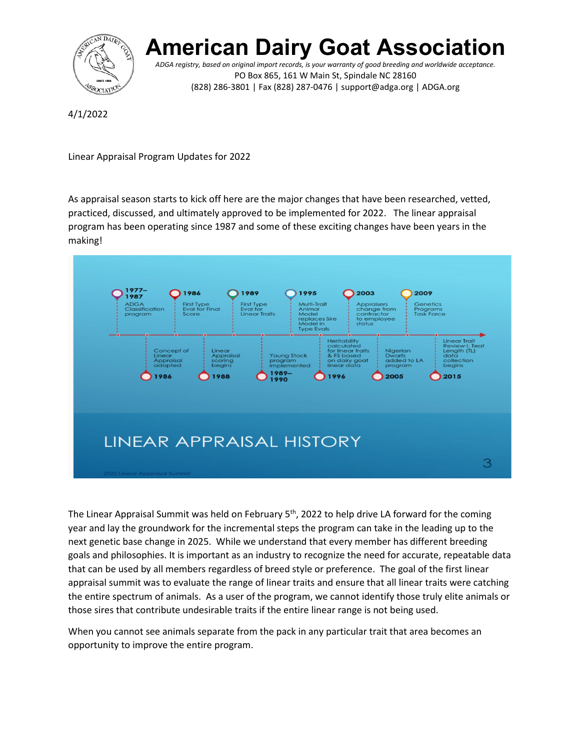

## **American Dairy Goat Associat**

*ADGA registry, based on original import records, is your warranty of good breeding and worldwide acceptance.* PO Box 865, 161 W Main St, Spindale NC 28160 (828) 286-3801 | Fax (828) 287-0476 | support@adga.org | ADGA.org

4/1/2022

Linear Appraisal Program Updates for 2022

As appraisal season starts to kick off here are the major changes that have been researched, vetted, practiced, discussed, and ultimately approved to be implemented for 2022. The linear appraisal program has been operating since 1987 and some of these exciting changes have been years in the making!



The Linear Appraisal Summit was held on February  $5<sup>th</sup>$ , 2022 to help drive LA forward for the coming year and lay the groundwork for the incremental steps the program can take in the leading up to the next genetic base change in 2025. While we understand that every member has different breeding goals and philosophies. It is important as an industry to recognize the need for accurate, repeatable data that can be used by all members regardless of breed style or preference. The goal of the first linear appraisal summit was to evaluate the range of linear traits and ensure that all linear traits were catching the entire spectrum of animals. As a user of the program, we cannot identify those truly elite animals or those sires that contribute undesirable traits if the entire linear range is not being used.

When you cannot see animals separate from the pack in any particular trait that area becomes an opportunity to improve the entire program.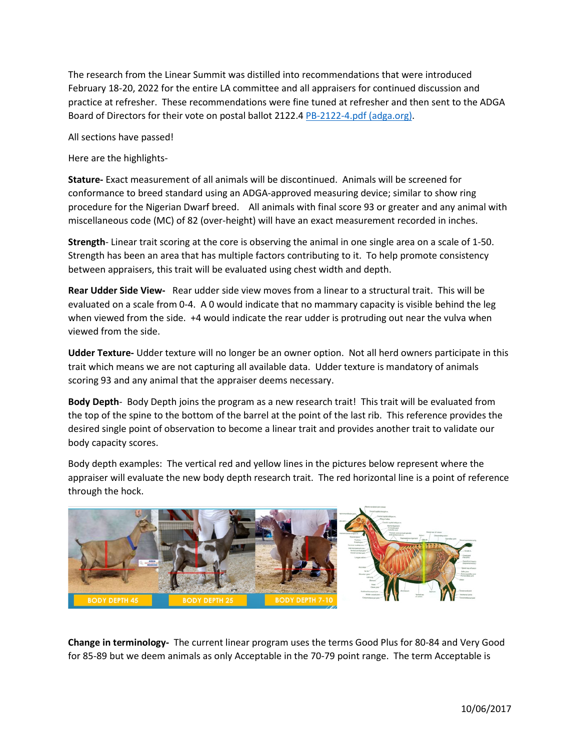The research from the Linear Summit was distilled into recommendations that were introduced February 18-20, 2022 for the entire LA committee and all appraisers for continued discussion and practice at refresher. These recommendations were fine tuned at refresher and then sent to the ADGA Board of Directors for their vote on postal ballot 2122.4 [PB-2122-4.pdf \(adga.org\).](https://adga.org/wp-content/uploads/2021/12/PB-2122-4.pdf)

All sections have passed!

Here are the highlights-

**Stature-** Exact measurement of all animals will be discontinued. Animals will be screened for conformance to breed standard using an ADGA-approved measuring device; similar to show ring procedure for the Nigerian Dwarf breed. All animals with final score 93 or greater and any animal with miscellaneous code (MC) of 82 (over-height) will have an exact measurement recorded in inches.

**Strength**- Linear trait scoring at the core is observing the animal in one single area on a scale of 1-50. Strength has been an area that has multiple factors contributing to it. To help promote consistency between appraisers, this trait will be evaluated using chest width and depth.

**Rear Udder Side View-** Rear udder side view moves from a linear to a structural trait. This will be evaluated on a scale from 0-4. A 0 would indicate that no mammary capacity is visible behind the leg when viewed from the side. +4 would indicate the rear udder is protruding out near the vulva when viewed from the side.

**Udder Texture-** Udder texture will no longer be an owner option. Not all herd owners participate in this trait which means we are not capturing all available data. Udder texture is mandatory of animals scoring 93 and any animal that the appraiser deems necessary.

**Body Depth**- Body Depth joins the program as a new research trait! This trait will be evaluated from the top of the spine to the bottom of the barrel at the point of the last rib. This reference provides the desired single point of observation to become a linear trait and provides another trait to validate our body capacity scores.

Body depth examples: The vertical red and yellow lines in the pictures below represent where the appraiser will evaluate the new body depth research trait. The red horizontal line is a point of reference through the hock.



**Change in terminology-** The current linear program uses the terms Good Plus for 80-84 and Very Good for 85-89 but we deem animals as only Acceptable in the 70-79 point range. The term Acceptable is